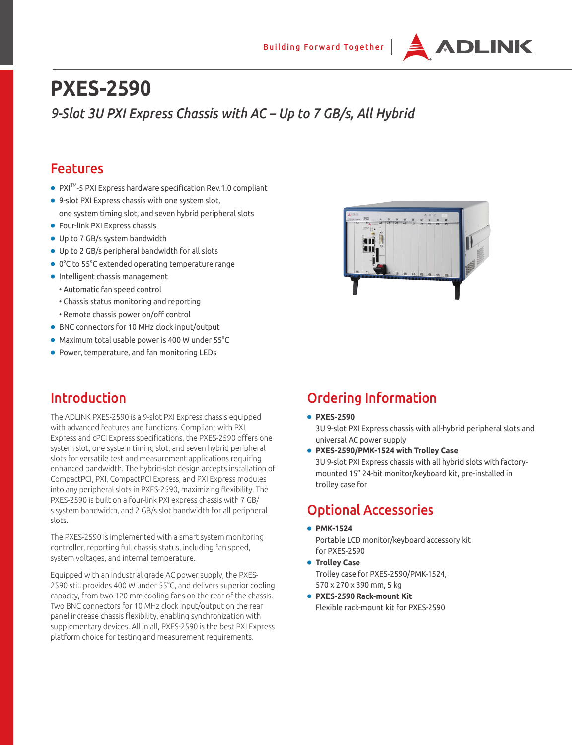

# **PXES-2590**  *9-Slot 3U PXI Express Chassis with AC – Up to 7 GB/s, All Hybrid*

## Features

- PXI<sup>TM</sup>-5 PXI Express hardware specification Rev.1.0 compliant
- 9-slot PXI Express chassis with one system slot, one system timing slot, and seven hybrid peripheral slots
- Four-link PXI Express chassis
- Up to 7 GB/s system bandwidth
- Up to 2 GB/s peripheral bandwidth for all slots
- 0°C to 55°C extended operating temperature range
- Intelligent chassis management
	- Automatic fan speed control
	- Chassis status monitoring and reporting
	- Remote chassis power on/off control
- BNC connectors for 10 MHz clock input/output
- Maximum total usable power is 400 W under 55°C
- Power, temperature, and fan monitoring LEDs

## Introduction

The ADLINK PXES-2590 is a 9-slot PXI Express chassis equipped with advanced features and functions. Compliant with PXI Express and cPCI Express specifications, the PXES-2590 offers one system slot, one system timing slot, and seven hybrid peripheral slots for versatile test and measurement applications requiring enhanced bandwidth. The hybrid-slot design accepts installation of CompactPCI, PXI, CompactPCI Express, and PXI Express modules into any peripheral slots in PXES-2590, maximizing flexibility. The PXES-2590 is built on a four-link PXI express chassis with 7 GB/ s system bandwidth, and 2 GB/s slot bandwidth for all peripheral slots.

The PXES-2590 is implemented with a smart system monitoring controller, reporting full chassis status, including fan speed, system voltages, and internal temperature.

Equipped with an industrial grade AC power supply, the PXES-2590 still provides 400 W under 55°C, and delivers superior cooling capacity, from two 120 mm cooling fans on the rear of the chassis. Two BNC connectors for 10 MHz clock input/output on the rear panel increase chassis flexibility, enabling synchronization with supplementary devices. All in all, PXES-2590 is the best PXI Express platform choice for testing and measurement requirements.



## Ordering Information

● **PXES-2590**

3U 9-slot PXI Express chassis with all-hybrid peripheral slots and universal AC power supply

● **PXES-2590/PMK-1524 with Trolley Case** 3U 9-slot PXI Express chassis with all hybrid slots with factorymounted 15" 24-bit monitor/keyboard kit, pre-installed in trolley case for

## Optional Accessories

- **PMK-1524** Portable LCD monitor/keyboard accessory kit for PXES-2590
- **Trolley Case** Trolley case for PXES-2590/PMK-1524, 570 x 270 x 390 mm, 5 kg
- **PXES-2590 Rack-mount Kit** Flexible rack-mount kit for PXES-2590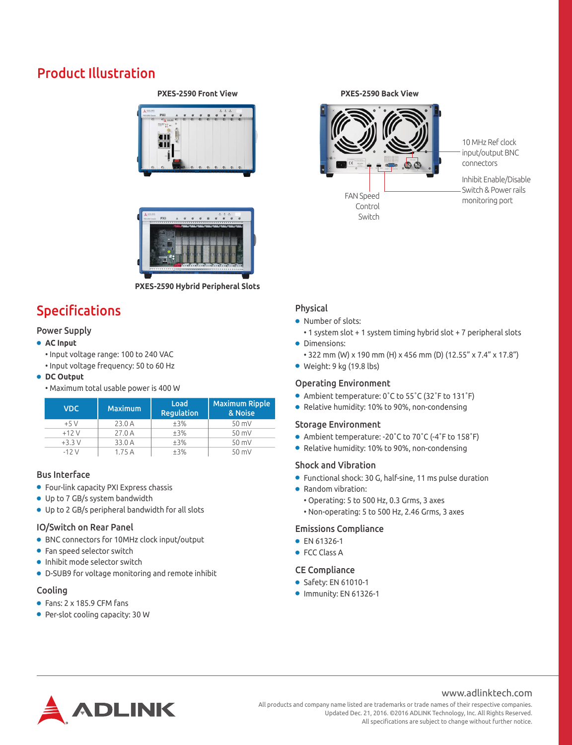## Product Illustration

#### **PXES-2590 Front View PXES-2590 Back View**





**PXES-2590 Hybrid Peripheral Slots**

# Specifications

### Power Supply

#### ● **AC Input**

- Input voltage range: 100 to 240 VAC
- Input voltage frequency: 50 to 60 Hz

#### ● **DC Output**

• Maximum total usable power is 400 W

| <b>VDC</b> | <b>Maximum</b> | Load<br><b>Requlation</b> | <b>Maximum Ripple</b><br>& Noise |
|------------|----------------|---------------------------|----------------------------------|
| $+5V$      | 23.0A          | ±3%                       | $50$ mV                          |
| $+12V$     | 27.0A          | ±3%                       | 50 mV                            |
| $+3.3V$    | 33.0 A         | ±3%                       | 50 mV                            |
| $-12V$     | 1.75A          | ±3%                       | $50$ mV                          |

### Bus Interface

- Four-link capacity PXI Express chassis
- Up to 7 GB/s system bandwidth
- Up to 2 GB/s peripheral bandwidth for all slots

#### IO/Switch on Rear Panel

- BNC connectors for 10MHz clock input/output
- Fan speed selector switch
- Inhibit mode selector switch
- D-SUB9 for voltage monitoring and remote inhibit

#### Cooling

- Fans: 2 x 185.9 CFM fans
- Per-slot cooling capacity: 30 W



10 MHz Ref clock input/output BNC connectors

Inhibit Enable/Disable Switch & Power rails monitoring port

### Physical

- Number of slots:
- 1 system slot + 1 system timing hybrid slot + 7 peripheral slots ● Dimensions:
	- 322 mm (W) x 190 mm (H) x 456 mm (D) (12.55" x 7.4" x 17.8")
- $\bullet$  Weight: 9 kg (19.8 lbs)

### Operating Environment

- Ambient temperature: 0˚C to 55˚C (32˚F to 131˚F)
- Relative humidity: 10% to 90%, non-condensing

#### Storage Environment

- Ambient temperature: -20°C to 70°C (-4°F to 158°F)
- Relative humidity: 10% to 90%, non-condensing

#### Shock and Vibration

- Functional shock: 30 G, half-sine, 11 ms pulse duration
- Random vibration:
	- Operating: 5 to 500 Hz, 0.3 Grms, 3 axes
	- Non-operating: 5 to 500 Hz, 2.46 Grms, 3 axes

#### Emissions Compliance

- EN 61326-1
- FCC Class A

#### CE Compliance

- Safety: EN 61010-1
- Immunity: EN 61326-1



#### All products and company name listed are trademarks or trade names of their respective companies. Updated Dec. 21, 2016. ©2016 ADLINK Technology, Inc. All Rights Reserved. All specifications are subject to change without further notice.

www.adlinktech.com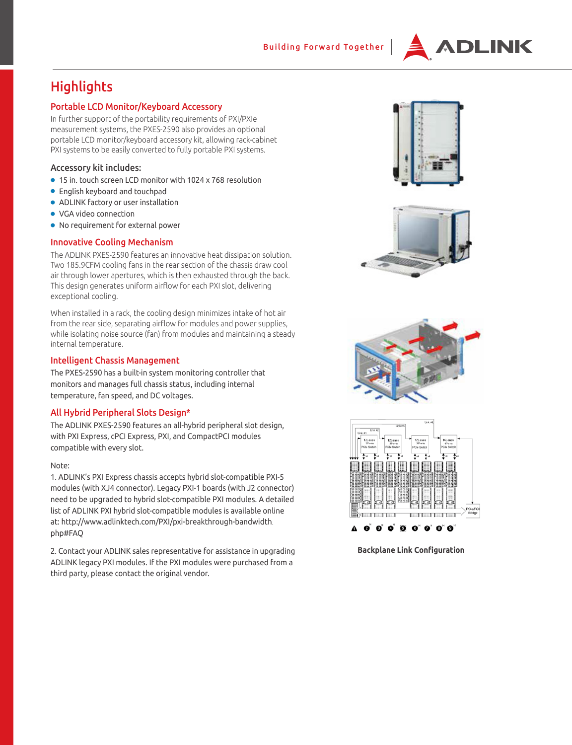

## **Highlights**

#### Portable LCD Monitor/Keyboard Accessory

In further support of the portability requirements of PXI/PXIe measurement systems, the PXES-2590 also provides an optional portable LCD monitor/keyboard accessory kit, allowing rack-cabinet PXI systems to be easily converted to fully portable PXI systems.

#### Accessory kit includes:

- 15 in. touch screen LCD monitor with 1024 x 768 resolution
- English keyboard and touchpad
- ADLINK factory or user installation
- VGA video connection
- No requirement for external power

#### Innovative Cooling Mechanism

The ADLINK PXES-2590 features an innovative heat dissipation solution. Two 185.9CFM cooling fans in the rear section of the chassis draw cool air through lower apertures, which is then exhausted through the back. This design generates uniform airflow for each PXI slot, delivering exceptional cooling.

When installed in a rack, the cooling design minimizes intake of hot air from the rear side, separating airflow for modules and power supplies, while isolating noise source (fan) from modules and maintaining a steady internal temperature.

#### Intelligent Chassis Management

The PXES-2590 has a built-in system monitoring controller that monitors and manages full chassis status, including internal temperature, fan speed, and DC voltages.

#### All Hybrid Peripheral Slots Design\*

The ADLINK PXES-2590 features an all-hybrid peripheral slot design, with PXI Express, cPCI Express, PXI, and CompactPCI modules compatible with every slot.

#### Note:

1. ADLINK's PXI Express chassis accepts hybrid slot-compatible PXI-5 modules (with XJ4 connector). Legacy PXI-1 boards (with J2 connector) need to be upgraded to hybrid slot-compatible PXI modules. A detailed list of ADLINK PXI hybrid slot-compatible modules is available online at: http://www.adlinktech.com/PXI/pxi-breakthrough-bandwidth. php#FAQ

2. Contact your ADLINK sales representative for assistance in upgrading ADLINK legacy PXI modules. If the PXI modules were purchased from a third party, please contact the original vendor.









**Backplane Link Configuration**